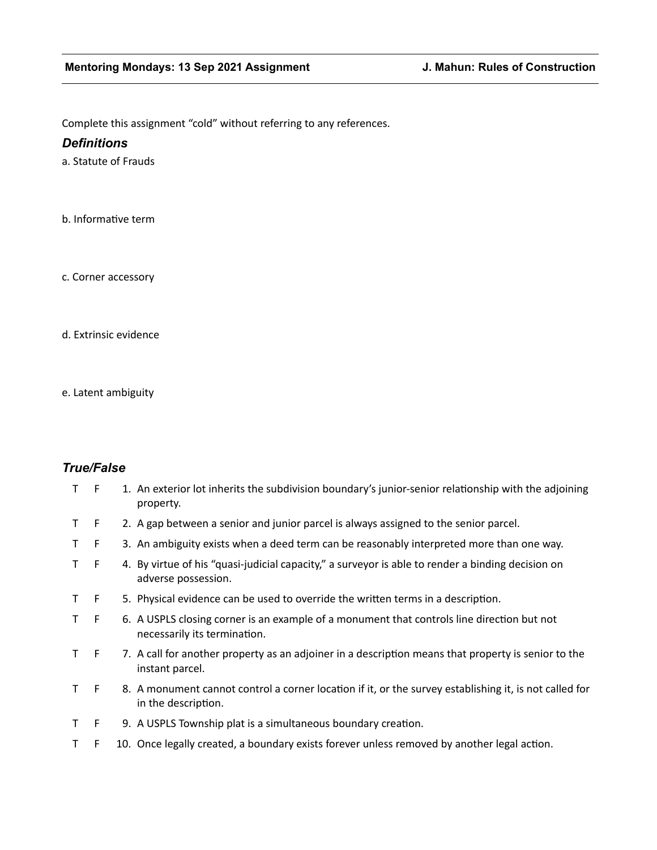Complete this assignment "cold" without referring to any references.

# *Definitions*

a. Statute of Frauds

b. Informative term

c. Corner accessory

d. Extrinsic evidence

e. Latent ambiguity

# *True/False*

| $\mathsf T$  | F  | 1. An exterior lot inherits the subdivision boundary's junior-senior relationship with the adjoining<br>property.             |
|--------------|----|-------------------------------------------------------------------------------------------------------------------------------|
| T            | F  | 2. A gap between a senior and junior parcel is always assigned to the senior parcel.                                          |
| T.           | F  | 3. An ambiguity exists when a deed term can be reasonably interpreted more than one way.                                      |
| T.           | F  | 4. By virtue of his "quasi-judicial capacity," a surveyor is able to render a binding decision on<br>adverse possession.      |
| T.           | F  | 5. Physical evidence can be used to override the written terms in a description.                                              |
| T.           | F  | 6. A USPLS closing corner is an example of a monument that controls line direction but not<br>necessarily its termination.    |
| $\mathsf{T}$ | F. | 7. A call for another property as an adjoiner in a description means that property is senior to the<br>instant parcel.        |
| T.           | F  | 8. A monument cannot control a corner location if it, or the survey establishing it, is not called for<br>in the description. |
| T.           | F  | 9. A USPLS Township plat is a simultaneous boundary creation.                                                                 |
| т            | F. | 10. Once legally created, a boundary exists forever unless removed by another legal action.                                   |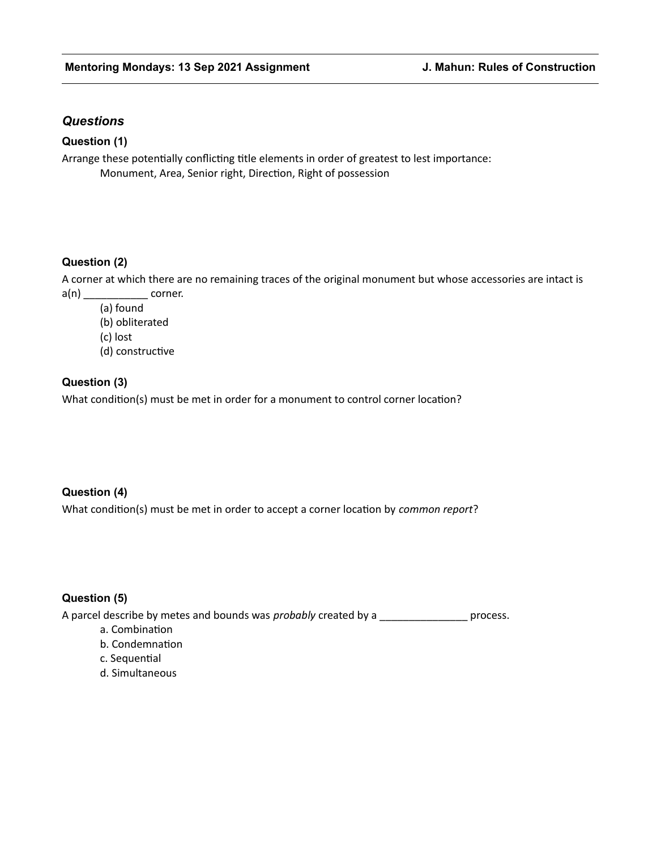# *Questions*

## **Question (1)**

Arrange these potentially conflicting title elements in order of greatest to lest importance: Monument, Area, Senior right, Direction, Right of possession

### **Question (2)**

A corner at which there are no remaining traces of the original monument but whose accessories are intact is  $a(n)$  corner.

(a) found

(b) obliterated

(c) lost

(d) constructive

### **Question (3)**

What condition(s) must be met in order for a monument to control corner location?

#### **Question (4)**

What condition(s) must be met in order to accept a corner location by *common report*?

#### **Question (5)**

A parcel describe by metes and bounds was *probably* created by a \_\_\_\_\_\_\_\_\_\_\_\_\_\_\_ process.

- a. Combination
- b. Condemnation
- c. Sequential
- d. Simultaneous